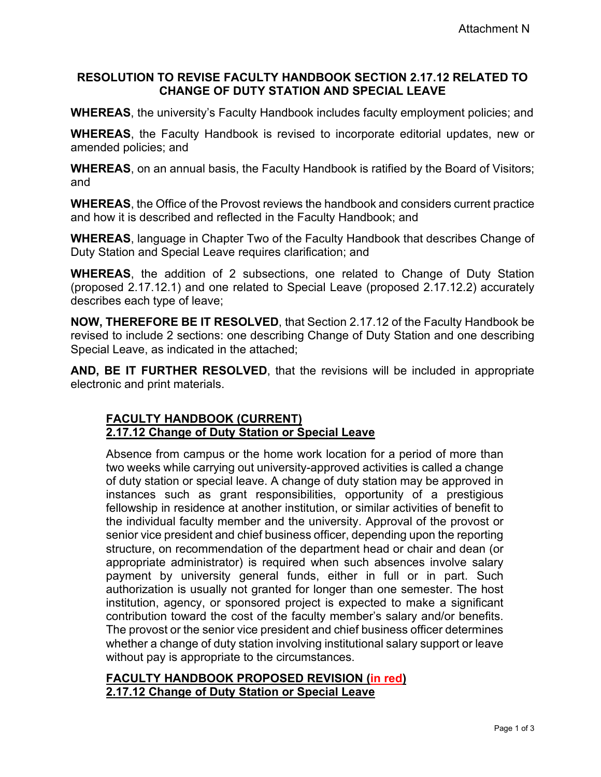### **RESOLUTION TO REVISE FACULTY HANDBOOK SECTION 2.17.12 RELATED TO CHANGE OF DUTY STATION AND SPECIAL LEAVE**

**WHEREAS**, the university's Faculty Handbook includes faculty employment policies; and

**WHEREAS**, the Faculty Handbook is revised to incorporate editorial updates, new or amended policies; and

**WHEREAS**, on an annual basis, the Faculty Handbook is ratified by the Board of Visitors; and

**WHEREAS**, the Office of the Provost reviews the handbook and considers current practice and how it is described and reflected in the Faculty Handbook; and

**WHEREAS**, language in Chapter Two of the Faculty Handbook that describes Change of Duty Station and Special Leave requires clarification; and

**WHEREAS**, the addition of 2 subsections, one related to Change of Duty Station (proposed 2.17.12.1) and one related to Special Leave (proposed 2.17.12.2) accurately describes each type of leave;

**NOW, THEREFORE BE IT RESOLVED**, that Section 2.17.12 of the Faculty Handbook be revised to include 2 sections: one describing Change of Duty Station and one describing Special Leave, as indicated in the attached;

**AND, BE IT FURTHER RESOLVED**, that the revisions will be included in appropriate electronic and print materials.

# **FACULTY HANDBOOK (CURRENT) 2.17.12 Change of Duty Station or Special Leave**

Absence from campus or the home work location for a period of more than two weeks while carrying out university-approved activities is called a change of duty station or special leave. A change of duty station may be approved in instances such as grant responsibilities, opportunity of a prestigious fellowship in residence at another institution, or similar activities of benefit to the individual faculty member and the university. Approval of the provost or senior vice president and chief business officer, depending upon the reporting structure, on recommendation of the department head or chair and dean (or appropriate administrator) is required when such absences involve salary payment by university general funds, either in full or in part. Such authorization is usually not granted for longer than one semester. The host institution, agency, or sponsored project is expected to make a significant contribution toward the cost of the faculty member's salary and/or benefits. The provost or the senior vice president and chief business officer determines whether a change of duty station involving institutional salary support or leave without pay is appropriate to the circumstances.

#### **FACULTY HANDBOOK PROPOSED REVISION (in red) 2.17.12 Change of Duty Station or Special Leave**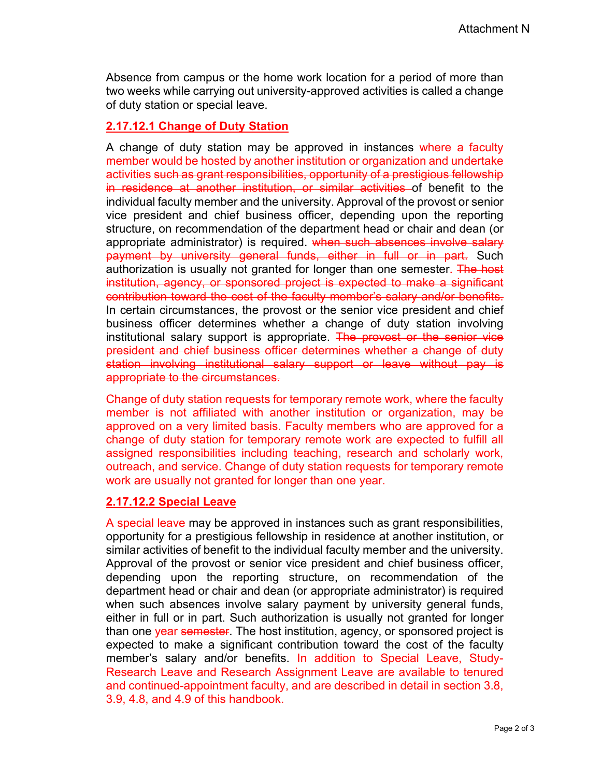Absence from campus or the home work location for a period of more than two weeks while carrying out university-approved activities is called a change of duty station or special leave.

### **2.17.12.1 Change of Duty Station**

A change of duty station may be approved in instances where a faculty member would be hosted by another institution or organization and undertake activities such as grant responsibilities, opportunity of a prestigious fellowship in residence at another institution, or similar activities of benefit to the individual faculty member and the university. Approval of the provost or senior vice president and chief business officer, depending upon the reporting structure, on recommendation of the department head or chair and dean (or appropriate administrator) is required. when such absences involve salary payment by university general funds, either in full or in part. Such authorization is usually not granted for longer than one semester. The host institution, agency, or sponsored project is expected to make a significant contribution toward the cost of the faculty member's salary and/or benefits. In certain circumstances, the provost or the senior vice president and chief business officer determines whether a change of duty station involving institutional salary support is appropriate. The provost or the senior vice president and chief business officer determines whether a change of duty station involving institutional salary support or leave without pay is appropriate to the circumstances.

Change of duty station requests for temporary remote work, where the faculty member is not affiliated with another institution or organization, may be approved on a very limited basis. Faculty members who are approved for a change of duty station for temporary remote work are expected to fulfill all assigned responsibilities including teaching, research and scholarly work, outreach, and service. Change of duty station requests for temporary remote work are usually not granted for longer than one year.

# **2.17.12.2 Special Leave**

A special leave may be approved in instances such as grant responsibilities, opportunity for a prestigious fellowship in residence at another institution, or similar activities of benefit to the individual faculty member and the university. Approval of the provost or senior vice president and chief business officer, depending upon the reporting structure, on recommendation of the department head or chair and dean (or appropriate administrator) is required when such absences involve salary payment by university general funds, either in full or in part. Such authorization is usually not granted for longer than one year semester. The host institution, agency, or sponsored project is expected to make a significant contribution toward the cost of the faculty member's salary and/or benefits. In addition to Special Leave, Study-Research Leave and Research Assignment Leave are available to tenured and continued-appointment faculty, and are described in detail in section 3.8, 3.9, 4.8, and 4.9 of this handbook.